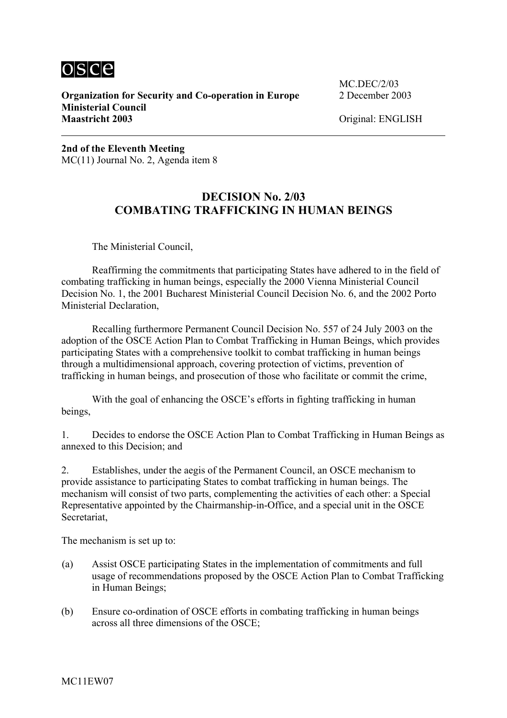

 $\overline{a}$ 

**Organization for Security and Co-operation in Europe** 2 December 2003 **Ministerial Council Maastricht 2003** Original: ENGLISH

MC.DEC/2/03

**2nd of the Eleventh Meeting** MC(11) Journal No. 2, Agenda item 8

# **DECISION No. 2/03 COMBATING TRAFFICKING IN HUMAN BEINGS**

The Ministerial Council,

Reaffirming the commitments that participating States have adhered to in the field of combating trafficking in human beings, especially the 2000 Vienna Ministerial Council Decision No. 1, the 2001 Bucharest Ministerial Council Decision No. 6, and the 2002 Porto Ministerial Declaration,

Recalling furthermore Permanent Council Decision No. 557 of 24 July 2003 on the adoption of the OSCE Action Plan to Combat Trafficking in Human Beings, which provides participating States with a comprehensive toolkit to combat trafficking in human beings through a multidimensional approach, covering protection of victims, prevention of trafficking in human beings, and prosecution of those who facilitate or commit the crime,

With the goal of enhancing the OSCE's efforts in fighting trafficking in human beings,

1. Decides to endorse the OSCE Action Plan to Combat Trafficking in Human Beings as annexed to this Decision; and

2. Establishes, under the aegis of the Permanent Council, an OSCE mechanism to provide assistance to participating States to combat trafficking in human beings. The mechanism will consist of two parts, complementing the activities of each other: a Special Representative appointed by the Chairmanship-in-Office, and a special unit in the OSCE Secretariat,

The mechanism is set up to:

- (a) Assist OSCE participating States in the implementation of commitments and full usage of recommendations proposed by the OSCE Action Plan to Combat Trafficking in Human Beings;
- (b) Ensure co-ordination of OSCE efforts in combating trafficking in human beings across all three dimensions of the OSCE;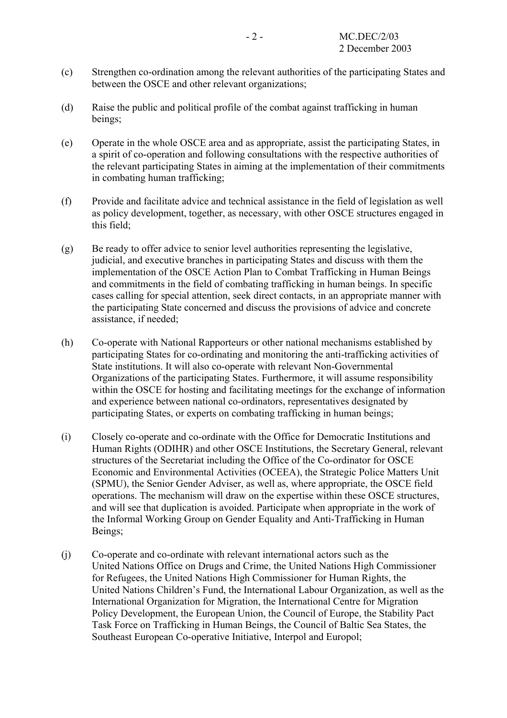- (c) Strengthen co-ordination among the relevant authorities of the participating States and between the OSCE and other relevant organizations;
- (d) Raise the public and political profile of the combat against trafficking in human beings;
- (e) Operate in the whole OSCE area and as appropriate, assist the participating States, in a spirit of co-operation and following consultations with the respective authorities of the relevant participating States in aiming at the implementation of their commitments in combating human trafficking;
- (f) Provide and facilitate advice and technical assistance in the field of legislation as well as policy development, together, as necessary, with other OSCE structures engaged in this field;
- (g) Be ready to offer advice to senior level authorities representing the legislative, judicial, and executive branches in participating States and discuss with them the implementation of the OSCE Action Plan to Combat Trafficking in Human Beings and commitments in the field of combating trafficking in human beings. In specific cases calling for special attention, seek direct contacts, in an appropriate manner with the participating State concerned and discuss the provisions of advice and concrete assistance, if needed;
- (h) Co-operate with National Rapporteurs or other national mechanisms established by participating States for co-ordinating and monitoring the anti-trafficking activities of State institutions. It will also co-operate with relevant Non-Governmental Organizations of the participating States. Furthermore, it will assume responsibility within the OSCE for hosting and facilitating meetings for the exchange of information and experience between national co-ordinators, representatives designated by participating States, or experts on combating trafficking in human beings;
- (i) Closely co-operate and co-ordinate with the Office for Democratic Institutions and Human Rights (ODIHR) and other OSCE Institutions, the Secretary General, relevant structures of the Secretariat including the Office of the Co-ordinator for OSCE Economic and Environmental Activities (OCEEA), the Strategic Police Matters Unit (SPMU), the Senior Gender Adviser, as well as, where appropriate, the OSCE field operations. The mechanism will draw on the expertise within these OSCE structures, and will see that duplication is avoided. Participate when appropriate in the work of the Informal Working Group on Gender Equality and Anti-Trafficking in Human Beings;
- (j) Co-operate and co-ordinate with relevant international actors such as the United Nations Office on Drugs and Crime, the United Nations High Commissioner for Refugees, the United Nations High Commissioner for Human Rights, the United Nations Children's Fund, the International Labour Organization, as well as the International Organization for Migration, the International Centre for Migration Policy Development, the European Union, the Council of Europe, the Stability Pact Task Force on Trafficking in Human Beings, the Council of Baltic Sea States, the Southeast European Co-operative Initiative, Interpol and Europol;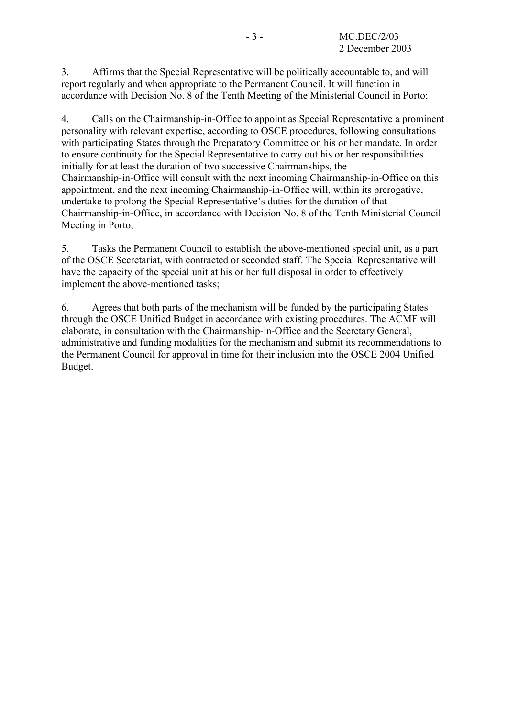3. Affirms that the Special Representative will be politically accountable to, and will report regularly and when appropriate to the Permanent Council. It will function in accordance with Decision No. 8 of the Tenth Meeting of the Ministerial Council in Porto;

4. Calls on the Chairmanship-in-Office to appoint as Special Representative a prominent personality with relevant expertise, according to OSCE procedures, following consultations with participating States through the Preparatory Committee on his or her mandate. In order to ensure continuity for the Special Representative to carry out his or her responsibilities initially for at least the duration of two successive Chairmanships, the Chairmanship-in-Office will consult with the next incoming Chairmanship-in-Office on this appointment, and the next incoming Chairmanship-in-Office will, within its prerogative, undertake to prolong the Special Representative's duties for the duration of that Chairmanship-in-Office, in accordance with Decision No. 8 of the Tenth Ministerial Council Meeting in Porto;

5. Tasks the Permanent Council to establish the above-mentioned special unit, as a part of the OSCE Secretariat, with contracted or seconded staff. The Special Representative will have the capacity of the special unit at his or her full disposal in order to effectively implement the above-mentioned tasks;

6. Agrees that both parts of the mechanism will be funded by the participating States through the OSCE Unified Budget in accordance with existing procedures. The ACMF will elaborate, in consultation with the Chairmanship-in-Office and the Secretary General, administrative and funding modalities for the mechanism and submit its recommendations to the Permanent Council for approval in time for their inclusion into the OSCE 2004 Unified Budget.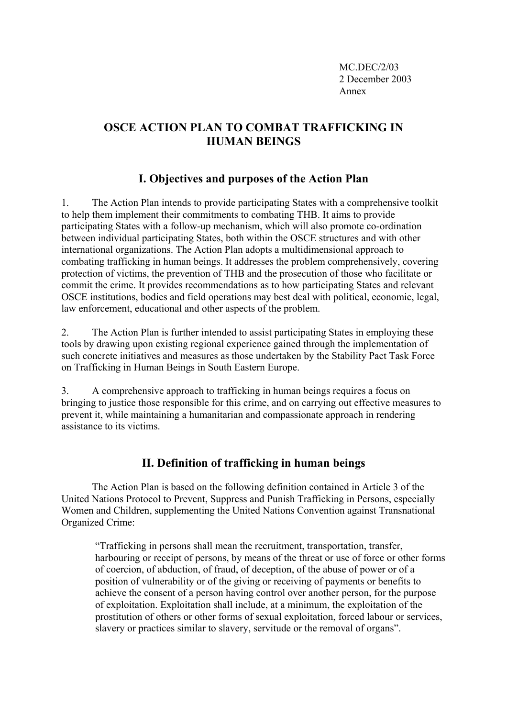MC.DEC/2/03 2 December 2003 Annex

# **OSCE ACTION PLAN TO COMBAT TRAFFICKING IN HUMAN BEINGS**

# **I. Objectives and purposes of the Action Plan**

1. The Action Plan intends to provide participating States with a comprehensive toolkit to help them implement their commitments to combating THB. It aims to provide participating States with a follow-up mechanism, which will also promote co-ordination between individual participating States, both within the OSCE structures and with other international organizations. The Action Plan adopts a multidimensional approach to combating trafficking in human beings. It addresses the problem comprehensively, covering protection of victims, the prevention of THB and the prosecution of those who facilitate or commit the crime. It provides recommendations as to how participating States and relevant OSCE institutions, bodies and field operations may best deal with political, economic, legal, law enforcement, educational and other aspects of the problem.

2. The Action Plan is further intended to assist participating States in employing these tools by drawing upon existing regional experience gained through the implementation of such concrete initiatives and measures as those undertaken by the Stability Pact Task Force on Trafficking in Human Beings in South Eastern Europe.

3. A comprehensive approach to trafficking in human beings requires a focus on bringing to justice those responsible for this crime, and on carrying out effective measures to prevent it, while maintaining a humanitarian and compassionate approach in rendering assistance to its victims.

## **II. Definition of trafficking in human beings**

The Action Plan is based on the following definition contained in Article 3 of the United Nations Protocol to Prevent, Suppress and Punish Trafficking in Persons, especially Women and Children, supplementing the United Nations Convention against Transnational Organized Crime:

"Trafficking in persons shall mean the recruitment, transportation, transfer, harbouring or receipt of persons, by means of the threat or use of force or other forms of coercion, of abduction, of fraud, of deception, of the abuse of power or of a position of vulnerability or of the giving or receiving of payments or benefits to achieve the consent of a person having control over another person, for the purpose of exploitation. Exploitation shall include, at a minimum, the exploitation of the prostitution of others or other forms of sexual exploitation, forced labour or services, slavery or practices similar to slavery, servitude or the removal of organs".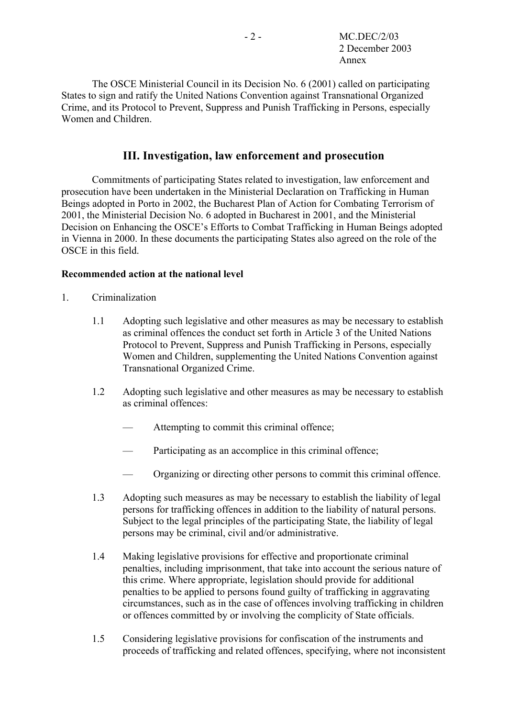The OSCE Ministerial Council in its Decision No. 6 (2001) called on participating States to sign and ratify the United Nations Convention against Transnational Organized Crime, and its Protocol to Prevent, Suppress and Punish Trafficking in Persons, especially Women and Children.

# **III. Investigation, law enforcement and prosecution**

Commitments of participating States related to investigation, law enforcement and prosecution have been undertaken in the Ministerial Declaration on Trafficking in Human Beings adopted in Porto in 2002, the Bucharest Plan of Action for Combating Terrorism of 2001, the Ministerial Decision No. 6 adopted in Bucharest in 2001, and the Ministerial Decision on Enhancing the OSCE's Efforts to Combat Trafficking in Human Beings adopted in Vienna in 2000. In these documents the participating States also agreed on the role of the OSCE in this field.

## **Recommended action at the national level**

- 1. Criminalization
	- 1.1 Adopting such legislative and other measures as may be necessary to establish as criminal offences the conduct set forth in Article 3 of the United Nations Protocol to Prevent, Suppress and Punish Trafficking in Persons, especially Women and Children, supplementing the United Nations Convention against Transnational Organized Crime.
	- 1.2 Adopting such legislative and other measures as may be necessary to establish as criminal offences:
		- Attempting to commit this criminal offence;
		- Participating as an accomplice in this criminal offence;
		- Organizing or directing other persons to commit this criminal offence.
	- 1.3 Adopting such measures as may be necessary to establish the liability of legal persons for trafficking offences in addition to the liability of natural persons. Subject to the legal principles of the participating State, the liability of legal persons may be criminal, civil and/or administrative.
	- 1.4 Making legislative provisions for effective and proportionate criminal penalties, including imprisonment, that take into account the serious nature of this crime. Where appropriate, legislation should provide for additional penalties to be applied to persons found guilty of trafficking in aggravating circumstances, such as in the case of offences involving trafficking in children or offences committed by or involving the complicity of State officials.
	- 1.5 Considering legislative provisions for confiscation of the instruments and proceeds of trafficking and related offences, specifying, where not inconsistent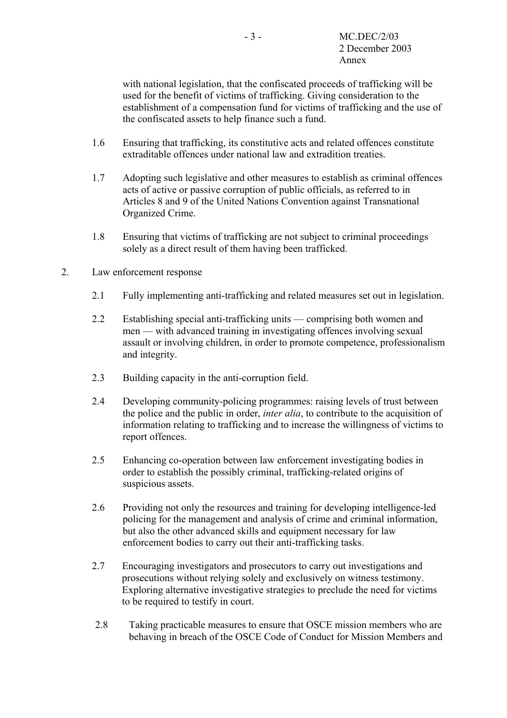with national legislation, that the confiscated proceeds of trafficking will be used for the benefit of victims of trafficking. Giving consideration to the establishment of a compensation fund for victims of trafficking and the use of the confiscated assets to help finance such a fund.

- 1.6 Ensuring that trafficking, its constitutive acts and related offences constitute extraditable offences under national law and extradition treaties.
- 1.7 Adopting such legislative and other measures to establish as criminal offences acts of active or passive corruption of public officials, as referred to in Articles 8 and 9 of the United Nations Convention against Transnational Organized Crime.
- 1.8 Ensuring that victims of trafficking are not subject to criminal proceedings solely as a direct result of them having been trafficked.
- 2. Law enforcement response
	- 2.1 Fully implementing anti-trafficking and related measures set out in legislation.
	- 2.2 Establishing special anti-trafficking units comprising both women and men — with advanced training in investigating offences involving sexual assault or involving children, in order to promote competence, professionalism and integrity.
	- 2.3 Building capacity in the anti-corruption field.
	- 2.4 Developing community-policing programmes: raising levels of trust between the police and the public in order, *inter alia*, to contribute to the acquisition of information relating to trafficking and to increase the willingness of victims to report offences.
	- 2.5 Enhancing co-operation between law enforcement investigating bodies in order to establish the possibly criminal, trafficking-related origins of suspicious assets.
	- 2.6 Providing not only the resources and training for developing intelligence-led policing for the management and analysis of crime and criminal information, but also the other advanced skills and equipment necessary for law enforcement bodies to carry out their anti-trafficking tasks.
	- 2.7 Encouraging investigators and prosecutors to carry out investigations and prosecutions without relying solely and exclusively on witness testimony. Exploring alternative investigative strategies to preclude the need for victims to be required to testify in court.
	- 2.8 Taking practicable measures to ensure that OSCE mission members who are behaving in breach of the OSCE Code of Conduct for Mission Members and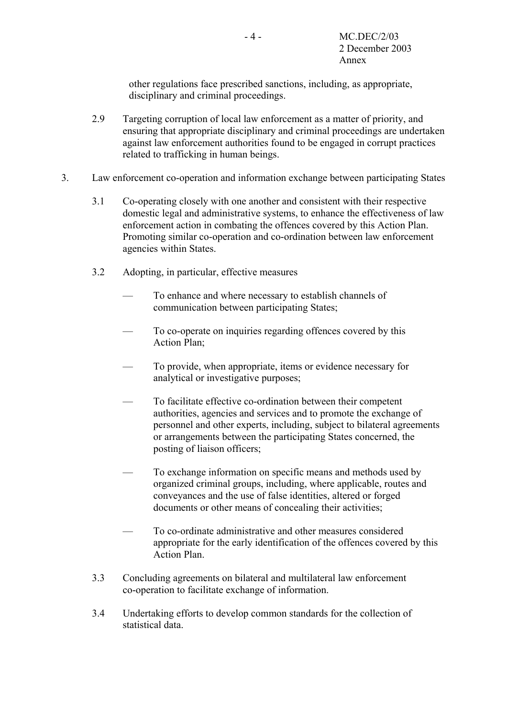other regulations face prescribed sanctions, including, as appropriate, disciplinary and criminal proceedings.

- 2.9 Targeting corruption of local law enforcement as a matter of priority, and ensuring that appropriate disciplinary and criminal proceedings are undertaken against law enforcement authorities found to be engaged in corrupt practices related to trafficking in human beings.
- 3. Law enforcement co-operation and information exchange between participating States
	- 3.1 Co-operating closely with one another and consistent with their respective domestic legal and administrative systems, to enhance the effectiveness of law enforcement action in combating the offences covered by this Action Plan. Promoting similar co-operation and co-ordination between law enforcement agencies within States.
	- 3.2 Adopting, in particular, effective measures
		- To enhance and where necessary to establish channels of communication between participating States;
		- To co-operate on inquiries regarding offences covered by this Action Plan;
		- To provide, when appropriate, items or evidence necessary for analytical or investigative purposes;
		- To facilitate effective co-ordination between their competent authorities, agencies and services and to promote the exchange of personnel and other experts, including, subject to bilateral agreements or arrangements between the participating States concerned, the posting of liaison officers;
		- To exchange information on specific means and methods used by organized criminal groups, including, where applicable, routes and conveyances and the use of false identities, altered or forged documents or other means of concealing their activities;
		- To co-ordinate administrative and other measures considered appropriate for the early identification of the offences covered by this Action Plan.
	- 3.3 Concluding agreements on bilateral and multilateral law enforcement co-operation to facilitate exchange of information.
	- 3.4 Undertaking efforts to develop common standards for the collection of statistical data.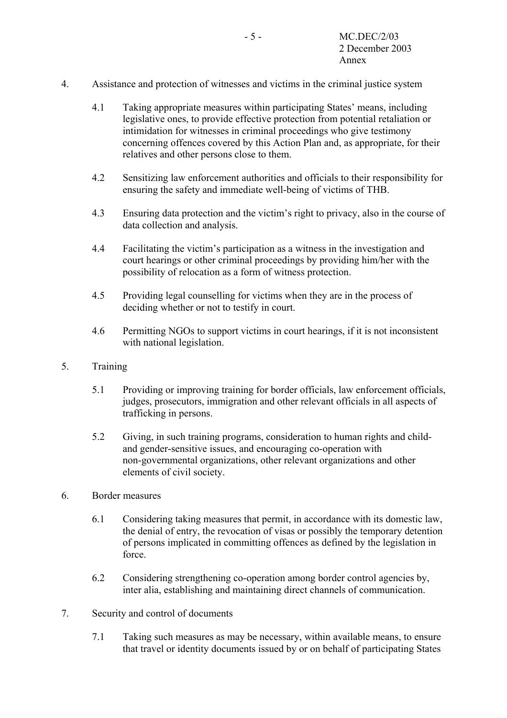- 4. Assistance and protection of witnesses and victims in the criminal justice system
	- 4.1 Taking appropriate measures within participating States' means, including legislative ones, to provide effective protection from potential retaliation or intimidation for witnesses in criminal proceedings who give testimony concerning offences covered by this Action Plan and, as appropriate, for their relatives and other persons close to them.
	- 4.2 Sensitizing law enforcement authorities and officials to their responsibility for ensuring the safety and immediate well-being of victims of THB.
	- 4.3 Ensuring data protection and the victim's right to privacy, also in the course of data collection and analysis.
	- 4.4 Facilitating the victim's participation as a witness in the investigation and court hearings or other criminal proceedings by providing him/her with the possibility of relocation as a form of witness protection.
	- 4.5 Providing legal counselling for victims when they are in the process of deciding whether or not to testify in court.
	- 4.6 Permitting NGOs to support victims in court hearings, if it is not inconsistent with national legislation.
- 5. Training
	- 5.1 Providing or improving training for border officials, law enforcement officials, judges, prosecutors, immigration and other relevant officials in all aspects of trafficking in persons.
	- 5.2 Giving, in such training programs, consideration to human rights and childand gender-sensitive issues, and encouraging co-operation with non-governmental organizations, other relevant organizations and other elements of civil society.
- 6. Border measures
	- 6.1 Considering taking measures that permit, in accordance with its domestic law, the denial of entry, the revocation of visas or possibly the temporary detention of persons implicated in committing offences as defined by the legislation in force.
	- 6.2 Considering strengthening co-operation among border control agencies by, inter alia, establishing and maintaining direct channels of communication.
- 7. Security and control of documents
	- 7.1 Taking such measures as may be necessary, within available means, to ensure that travel or identity documents issued by or on behalf of participating States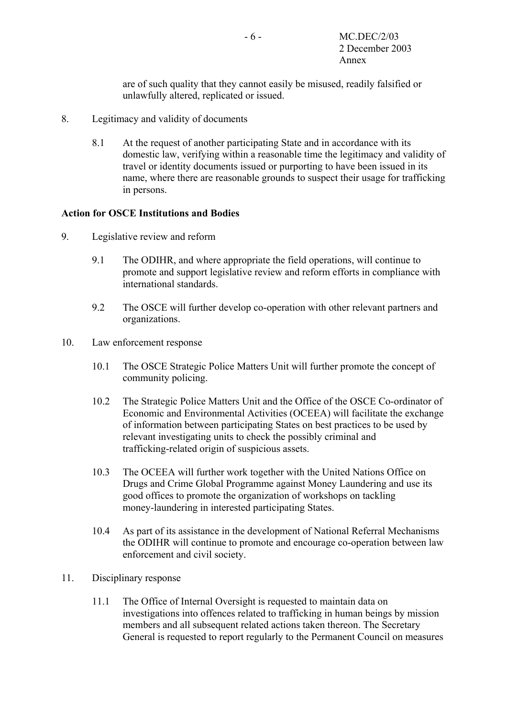are of such quality that they cannot easily be misused, readily falsified or unlawfully altered, replicated or issued.

- 8. Legitimacy and validity of documents
	- 8.1 At the request of another participating State and in accordance with its domestic law, verifying within a reasonable time the legitimacy and validity of travel or identity documents issued or purporting to have been issued in its name, where there are reasonable grounds to suspect their usage for trafficking in persons.

### **Action for OSCE Institutions and Bodies**

- 9. Legislative review and reform
	- 9.1 The ODIHR, and where appropriate the field operations, will continue to promote and support legislative review and reform efforts in compliance with international standards.
	- 9.2 The OSCE will further develop co-operation with other relevant partners and organizations.
- 10. Law enforcement response
	- 10.1 The OSCE Strategic Police Matters Unit will further promote the concept of community policing.
	- 10.2 The Strategic Police Matters Unit and the Office of the OSCE Co-ordinator of Economic and Environmental Activities (OCEEA) will facilitate the exchange of information between participating States on best practices to be used by relevant investigating units to check the possibly criminal and trafficking-related origin of suspicious assets.
	- 10.3 The OCEEA will further work together with the United Nations Office on Drugs and Crime Global Programme against Money Laundering and use its good offices to promote the organization of workshops on tackling money-laundering in interested participating States.
	- 10.4 As part of its assistance in the development of National Referral Mechanisms the ODIHR will continue to promote and encourage co-operation between law enforcement and civil society.
- 11. Disciplinary response
	- 11.1 The Office of Internal Oversight is requested to maintain data on investigations into offences related to trafficking in human beings by mission members and all subsequent related actions taken thereon. The Secretary General is requested to report regularly to the Permanent Council on measures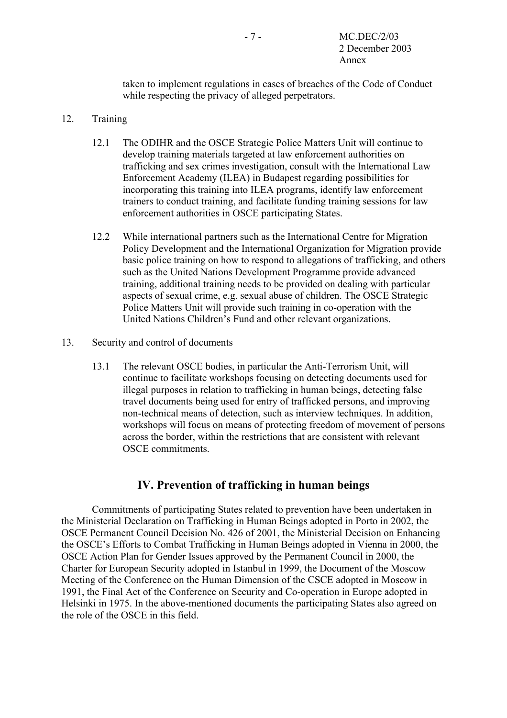taken to implement regulations in cases of breaches of the Code of Conduct while respecting the privacy of alleged perpetrators.

## 12. Training

- 12.1 The ODIHR and the OSCE Strategic Police Matters Unit will continue to develop training materials targeted at law enforcement authorities on trafficking and sex crimes investigation, consult with the International Law Enforcement Academy (ILEA) in Budapest regarding possibilities for incorporating this training into ILEA programs, identify law enforcement trainers to conduct training, and facilitate funding training sessions for law enforcement authorities in OSCE participating States.
- 12.2 While international partners such as the International Centre for Migration Policy Development and the International Organization for Migration provide basic police training on how to respond to allegations of trafficking, and others such as the United Nations Development Programme provide advanced training, additional training needs to be provided on dealing with particular aspects of sexual crime, e.g. sexual abuse of children. The OSCE Strategic Police Matters Unit will provide such training in co-operation with the United Nations Children's Fund and other relevant organizations.
- 13. Security and control of documents
	- 13.1 The relevant OSCE bodies, in particular the Anti-Terrorism Unit, will continue to facilitate workshops focusing on detecting documents used for illegal purposes in relation to trafficking in human beings, detecting false travel documents being used for entry of trafficked persons, and improving non-technical means of detection, such as interview techniques. In addition, workshops will focus on means of protecting freedom of movement of persons across the border, within the restrictions that are consistent with relevant OSCE commitments.

## **IV. Prevention of trafficking in human beings**

Commitments of participating States related to prevention have been undertaken in the Ministerial Declaration on Trafficking in Human Beings adopted in Porto in 2002, the OSCE Permanent Council Decision No. 426 of 2001, the Ministerial Decision on Enhancing the OSCE's Efforts to Combat Trafficking in Human Beings adopted in Vienna in 2000, the OSCE Action Plan for Gender Issues approved by the Permanent Council in 2000, the Charter for European Security adopted in Istanbul in 1999, the Document of the Moscow Meeting of the Conference on the Human Dimension of the CSCE adopted in Moscow in 1991, the Final Act of the Conference on Security and Co-operation in Europe adopted in Helsinki in 1975. In the above-mentioned documents the participating States also agreed on the role of the OSCE in this field.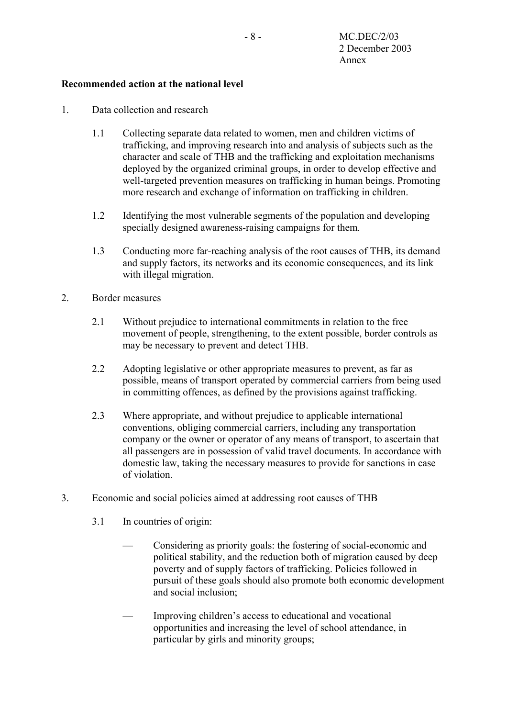## **Recommended action at the national level**

- 1. Data collection and research
	- 1.1 Collecting separate data related to women, men and children victims of trafficking, and improving research into and analysis of subjects such as the character and scale of THB and the trafficking and exploitation mechanisms deployed by the organized criminal groups, in order to develop effective and well-targeted prevention measures on trafficking in human beings. Promoting more research and exchange of information on trafficking in children.
	- 1.2 Identifying the most vulnerable segments of the population and developing specially designed awareness-raising campaigns for them.
	- 1.3 Conducting more far-reaching analysis of the root causes of THB, its demand and supply factors, its networks and its economic consequences, and its link with illegal migration.
- 2. Border measures
	- 2.1 Without prejudice to international commitments in relation to the free movement of people, strengthening, to the extent possible, border controls as may be necessary to prevent and detect THB.
	- 2.2 Adopting legislative or other appropriate measures to prevent, as far as possible, means of transport operated by commercial carriers from being used in committing offences, as defined by the provisions against trafficking.
	- 2.3 Where appropriate, and without prejudice to applicable international conventions, obliging commercial carriers, including any transportation company or the owner or operator of any means of transport, to ascertain that all passengers are in possession of valid travel documents. In accordance with domestic law, taking the necessary measures to provide for sanctions in case of violation.
- 3. Economic and social policies aimed at addressing root causes of THB
	- 3.1 In countries of origin:
		- Considering as priority goals: the fostering of social-economic and political stability, and the reduction both of migration caused by deep poverty and of supply factors of trafficking. Policies followed in pursuit of these goals should also promote both economic development and social inclusion;
		- Improving children's access to educational and vocational opportunities and increasing the level of school attendance, in particular by girls and minority groups;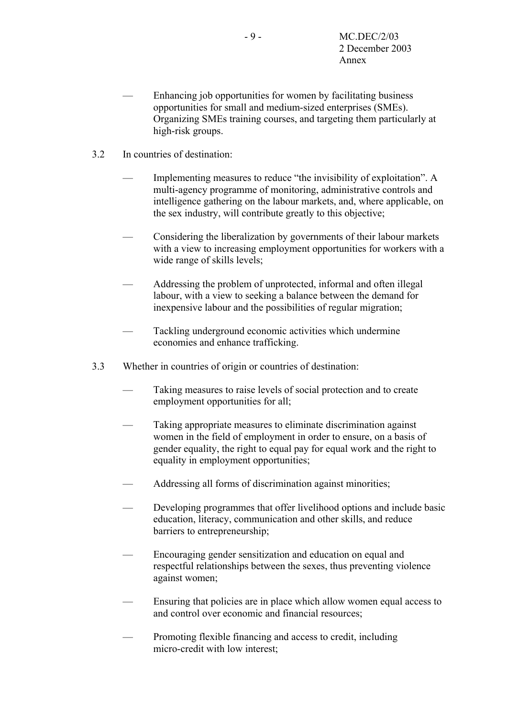- Enhancing job opportunities for women by facilitating business opportunities for small and medium-sized enterprises (SMEs). Organizing SMEs training courses, and targeting them particularly at high-risk groups.
- 3.2 In countries of destination:
	- Implementing measures to reduce "the invisibility of exploitation". A multi-agency programme of monitoring, administrative controls and intelligence gathering on the labour markets, and, where applicable, on the sex industry, will contribute greatly to this objective;
	- Considering the liberalization by governments of their labour markets with a view to increasing employment opportunities for workers with a wide range of skills levels;
	- Addressing the problem of unprotected, informal and often illegal labour, with a view to seeking a balance between the demand for inexpensive labour and the possibilities of regular migration;
	- Tackling underground economic activities which undermine economies and enhance trafficking.
- 3.3 Whether in countries of origin or countries of destination:
	- Taking measures to raise levels of social protection and to create employment opportunities for all;
	- Taking appropriate measures to eliminate discrimination against women in the field of employment in order to ensure, on a basis of gender equality, the right to equal pay for equal work and the right to equality in employment opportunities;
	- Addressing all forms of discrimination against minorities;
	- Developing programmes that offer livelihood options and include basic education, literacy, communication and other skills, and reduce barriers to entrepreneurship;
	- Encouraging gender sensitization and education on equal and respectful relationships between the sexes, thus preventing violence against women;
	- Ensuring that policies are in place which allow women equal access to and control over economic and financial resources;
	- Promoting flexible financing and access to credit, including micro-credit with low interest;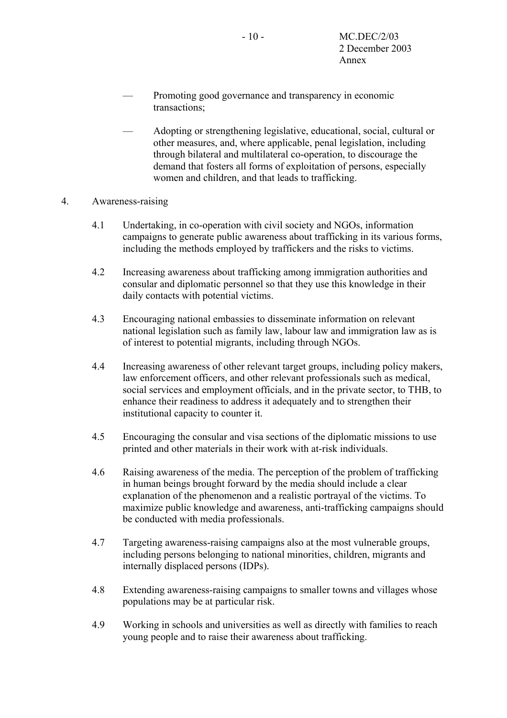- Promoting good governance and transparency in economic transactions;
- Adopting or strengthening legislative, educational, social, cultural or other measures, and, where applicable, penal legislation, including through bilateral and multilateral co-operation, to discourage the demand that fosters all forms of exploitation of persons, especially women and children, and that leads to trafficking.
- 4. Awareness-raising
	- 4.1 Undertaking, in co-operation with civil society and NGOs, information campaigns to generate public awareness about trafficking in its various forms, including the methods employed by traffickers and the risks to victims.
	- 4.2 Increasing awareness about trafficking among immigration authorities and consular and diplomatic personnel so that they use this knowledge in their daily contacts with potential victims.
	- 4.3 Encouraging national embassies to disseminate information on relevant national legislation such as family law, labour law and immigration law as is of interest to potential migrants, including through NGOs.
	- 4.4 Increasing awareness of other relevant target groups, including policy makers, law enforcement officers, and other relevant professionals such as medical, social services and employment officials, and in the private sector, to THB, to enhance their readiness to address it adequately and to strengthen their institutional capacity to counter it.
	- 4.5 Encouraging the consular and visa sections of the diplomatic missions to use printed and other materials in their work with at-risk individuals.
	- 4.6 Raising awareness of the media. The perception of the problem of trafficking in human beings brought forward by the media should include a clear explanation of the phenomenon and a realistic portrayal of the victims. To maximize public knowledge and awareness, anti-trafficking campaigns should be conducted with media professionals.
	- 4.7 Targeting awareness-raising campaigns also at the most vulnerable groups, including persons belonging to national minorities, children, migrants and internally displaced persons (IDPs).
	- 4.8 Extending awareness-raising campaigns to smaller towns and villages whose populations may be at particular risk.
	- 4.9 Working in schools and universities as well as directly with families to reach young people and to raise their awareness about trafficking.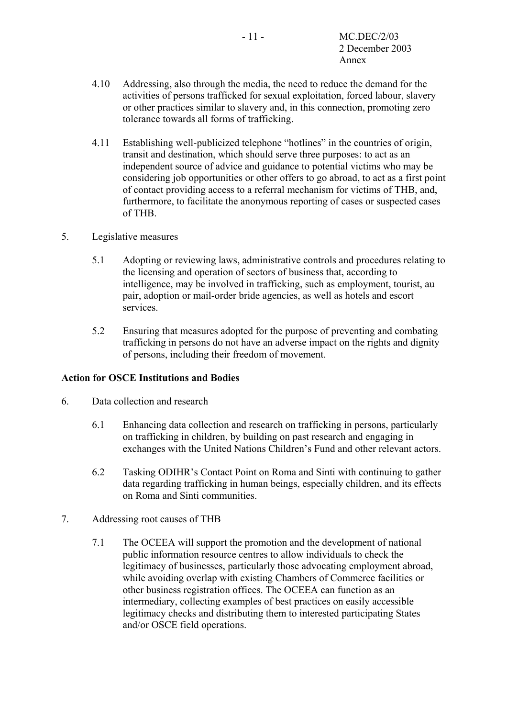- 4.10 Addressing, also through the media, the need to reduce the demand for the activities of persons trafficked for sexual exploitation, forced labour, slavery or other practices similar to slavery and, in this connection, promoting zero tolerance towards all forms of trafficking.
- 4.11 Establishing well-publicized telephone "hotlines" in the countries of origin, transit and destination, which should serve three purposes: to act as an independent source of advice and guidance to potential victims who may be considering job opportunities or other offers to go abroad, to act as a first point of contact providing access to a referral mechanism for victims of THB, and, furthermore, to facilitate the anonymous reporting of cases or suspected cases of THB.
- 5. Legislative measures
	- 5.1 Adopting or reviewing laws, administrative controls and procedures relating to the licensing and operation of sectors of business that, according to intelligence, may be involved in trafficking, such as employment, tourist, au pair, adoption or mail-order bride agencies, as well as hotels and escort services.
	- 5.2 Ensuring that measures adopted for the purpose of preventing and combating trafficking in persons do not have an adverse impact on the rights and dignity of persons, including their freedom of movement.

### **Action for OSCE Institutions and Bodies**

- 6. Data collection and research
	- 6.1 Enhancing data collection and research on trafficking in persons, particularly on trafficking in children, by building on past research and engaging in exchanges with the United Nations Children's Fund and other relevant actors.
	- 6.2 Tasking ODIHR's Contact Point on Roma and Sinti with continuing to gather data regarding trafficking in human beings, especially children, and its effects on Roma and Sinti communities.
- 7. Addressing root causes of THB
	- 7.1 The OCEEA will support the promotion and the development of national public information resource centres to allow individuals to check the legitimacy of businesses, particularly those advocating employment abroad, while avoiding overlap with existing Chambers of Commerce facilities or other business registration offices. The OCEEA can function as an intermediary, collecting examples of best practices on easily accessible legitimacy checks and distributing them to interested participating States and/or OSCE field operations.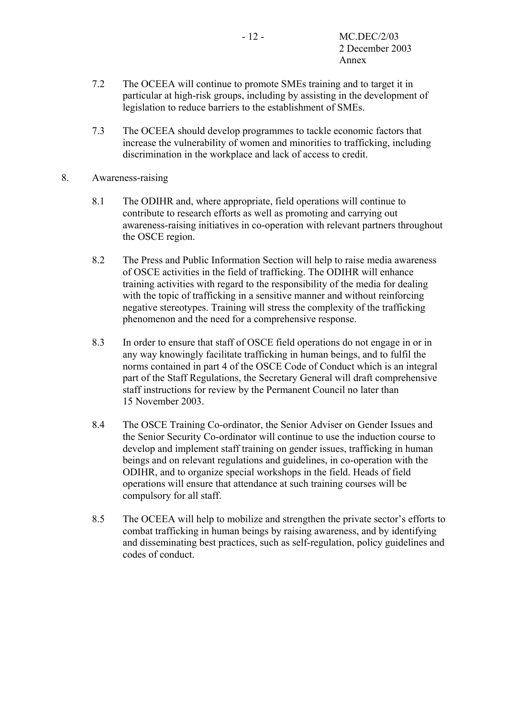- 7.2 The OCEEA will continue to promote SMEs training and to target it in particular at high-risk groups, including by assisting in the development of legislation to reduce barriers to the establishment of SMEs.
- 7.3 The OCEEA should develop programmes to tackle economic factors that increase the vulnerability of women and minorities to trafficking, including discrimination in the workplace and lack of access to credit.
- 8. Awareness-raising
	- 8.1 The ODIHR and, where appropriate, field operations will continue to contribute to research efforts as well as promoting and carrying out awareness-raising initiatives in co-operation with relevant partners throughout the OSCE region.
	- 8.2 The Press and Public Information Section will help to raise media awareness of OSCE activities in the field of trafficking. The ODIHR will enhance training activities with regard to the responsibility of the media for dealing with the topic of trafficking in a sensitive manner and without reinforcing negative stereotypes. Training will stress the complexity of the trafficking phenomenon and the need for a comprehensive response.
	- 8.3 In order to ensure that staff of OSCE field operations do not engage in or in any way knowingly facilitate trafficking in human beings, and to fulfil the norms contained in part 4 of the OSCE Code of Conduct which is an integral part of the Staff Regulations, the Secretary General will draft comprehensive staff instructions for review by the Permanent Council no later than 15 November 2003.
	- 8.4 The OSCE Training Co-ordinator, the Senior Adviser on Gender Issues and the Senior Security Co-ordinator will continue to use the induction course to develop and implement staff training on gender issues, trafficking in human beings and on relevant regulations and guidelines, in co-operation with the ODIHR, and to organize special workshops in the field. Heads of field operations will ensure that attendance at such training courses will be compulsory for all staff.
	- 8.5 The OCEEA will help to mobilize and strengthen the private sector's efforts to combat trafficking in human beings by raising awareness, and by identifying and disseminating best practices, such as self-regulation, policy guidelines and codes of conduct.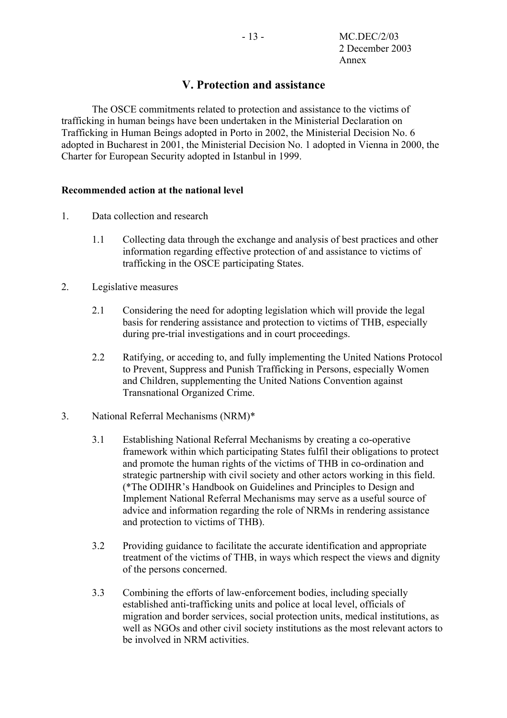# **V. Protection and assistance**

The OSCE commitments related to protection and assistance to the victims of trafficking in human beings have been undertaken in the Ministerial Declaration on Trafficking in Human Beings adopted in Porto in 2002, the Ministerial Decision No. 6 adopted in Bucharest in 2001, the Ministerial Decision No. 1 adopted in Vienna in 2000, the Charter for European Security adopted in Istanbul in 1999.

## **Recommended action at the national level**

- 1. Data collection and research
	- 1.1 Collecting data through the exchange and analysis of best practices and other information regarding effective protection of and assistance to victims of trafficking in the OSCE participating States.
- 2. Legislative measures
	- 2.1 Considering the need for adopting legislation which will provide the legal basis for rendering assistance and protection to victims of THB, especially during pre-trial investigations and in court proceedings.
	- 2.2 Ratifying, or acceding to, and fully implementing the United Nations Protocol to Prevent, Suppress and Punish Trafficking in Persons, especially Women and Children, supplementing the United Nations Convention against Transnational Organized Crime.
- 3. National Referral Mechanisms (NRM)\*
	- 3.1 Establishing National Referral Mechanisms by creating a co-operative framework within which participating States fulfil their obligations to protect and promote the human rights of the victims of THB in co-ordination and strategic partnership with civil society and other actors working in this field. (\*The ODIHR's Handbook on Guidelines and Principles to Design and Implement National Referral Mechanisms may serve as a useful source of advice and information regarding the role of NRMs in rendering assistance and protection to victims of THB).
	- 3.2 Providing guidance to facilitate the accurate identification and appropriate treatment of the victims of THB, in ways which respect the views and dignity of the persons concerned.
	- 3.3 Combining the efforts of law-enforcement bodies, including specially established anti-trafficking units and police at local level, officials of migration and border services, social protection units, medical institutions, as well as NGOs and other civil society institutions as the most relevant actors to be involved in NRM activities.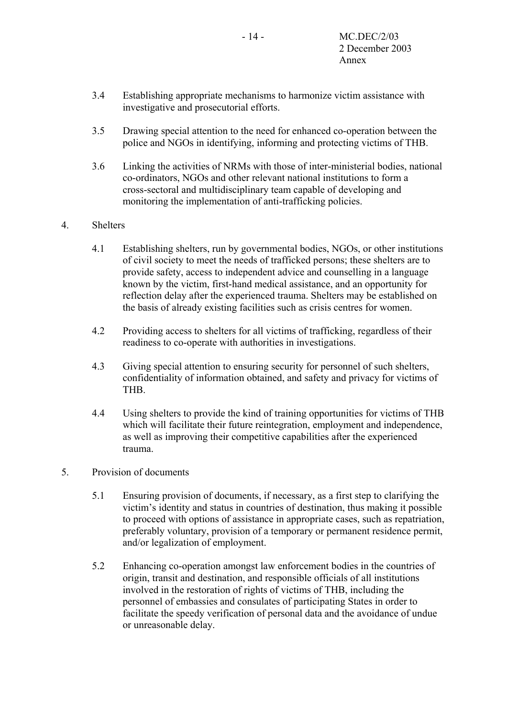- 3.4 Establishing appropriate mechanisms to harmonize victim assistance with investigative and prosecutorial efforts.
- 3.5 Drawing special attention to the need for enhanced co-operation between the police and NGOs in identifying, informing and protecting victims of THB.
- 3.6 Linking the activities of NRMs with those of inter-ministerial bodies, national co-ordinators, NGOs and other relevant national institutions to form a cross-sectoral and multidisciplinary team capable of developing and monitoring the implementation of anti-trafficking policies.

## 4. Shelters

- 4.1 Establishing shelters, run by governmental bodies, NGOs, or other institutions of civil society to meet the needs of trafficked persons; these shelters are to provide safety, access to independent advice and counselling in a language known by the victim, first-hand medical assistance, and an opportunity for reflection delay after the experienced trauma. Shelters may be established on the basis of already existing facilities such as crisis centres for women.
- 4.2 Providing access to shelters for all victims of trafficking, regardless of their readiness to co-operate with authorities in investigations.
- 4.3 Giving special attention to ensuring security for personnel of such shelters, confidentiality of information obtained, and safety and privacy for victims of THB.
- 4.4 Using shelters to provide the kind of training opportunities for victims of THB which will facilitate their future reintegration, employment and independence, as well as improving their competitive capabilities after the experienced trauma.

### 5. Provision of documents

- 5.1 Ensuring provision of documents, if necessary, as a first step to clarifying the victim's identity and status in countries of destination, thus making it possible to proceed with options of assistance in appropriate cases, such as repatriation, preferably voluntary, provision of a temporary or permanent residence permit, and/or legalization of employment.
- 5.2 Enhancing co-operation amongst law enforcement bodies in the countries of origin, transit and destination, and responsible officials of all institutions involved in the restoration of rights of victims of THB, including the personnel of embassies and consulates of participating States in order to facilitate the speedy verification of personal data and the avoidance of undue or unreasonable delay.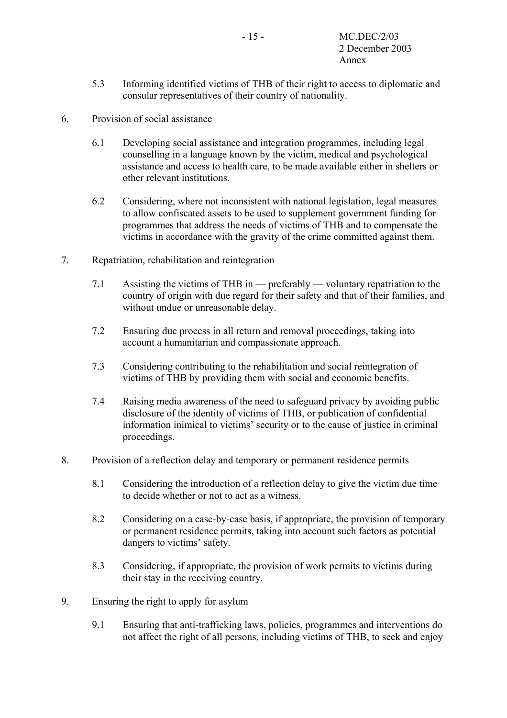- 5.3 Informing identified victims of THB of their right to access to diplomatic and consular representatives of their country of nationality.
- 6. Provision of social assistance
	- 6.1 Developing social assistance and integration programmes, including legal counselling in a language known by the victim, medical and psychological assistance and access to health care, to be made available either in shelters or other relevant institutions.
	- 6.2 Considering, where not inconsistent with national legislation, legal measures to allow confiscated assets to be used to supplement government funding for programmes that address the needs of victims of THB and to compensate the victims in accordance with the gravity of the crime committed against them.
- 7. Repatriation, rehabilitation and reintegration
	- 7.1 Assisting the victims of THB in preferably voluntary repatriation to the country of origin with due regard for their safety and that of their families, and without undue or unreasonable delay.
	- 7.2 Ensuring due process in all return and removal proceedings, taking into account a humanitarian and compassionate approach.
	- 7.3 Considering contributing to the rehabilitation and social reintegration of victims of THB by providing them with social and economic benefits.
	- 7.4 Raising media awareness of the need to safeguard privacy by avoiding public disclosure of the identity of victims of THB, or publication of confidential information inimical to victims' security or to the cause of justice in criminal proceedings.
- 8. Provision of a reflection delay and temporary or permanent residence permits
	- 8.1 Considering the introduction of a reflection delay to give the victim due time to decide whether or not to act as a witness.
	- 8.2 Considering on a case-by-case basis, if appropriate, the provision of temporary or permanent residence permits, taking into account such factors as potential dangers to victims' safety.
	- 8.3 Considering, if appropriate, the provision of work permits to victims during their stay in the receiving country.
- 9. Ensuring the right to apply for asylum
	- 9.1 Ensuring that anti-trafficking laws, policies, programmes and interventions do not affect the right of all persons, including victims of THB, to seek and enjoy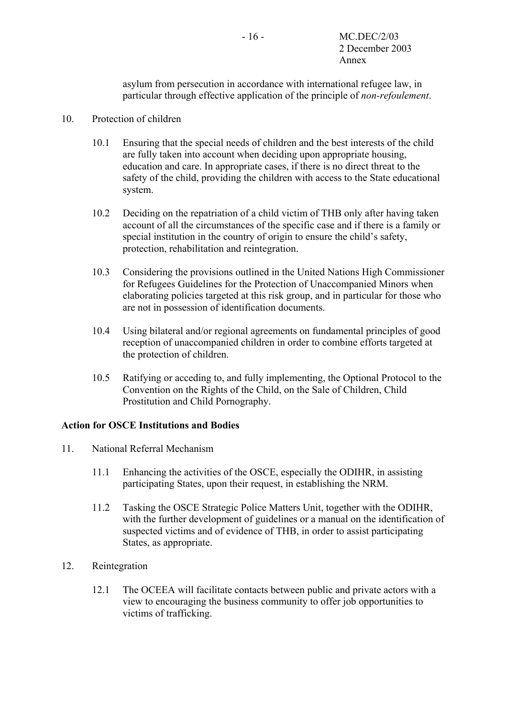asylum from persecution in accordance with international refugee law, in particular through effective application of the principle of *non-refoulement*.

## 10. Protection of children

- 10.1 Ensuring that the special needs of children and the best interests of the child are fully taken into account when deciding upon appropriate housing, education and care. In appropriate cases, if there is no direct threat to the safety of the child, providing the children with access to the State educational system.
- 10.2 Deciding on the repatriation of a child victim of THB only after having taken account of all the circumstances of the specific case and if there is a family or special institution in the country of origin to ensure the child's safety, protection, rehabilitation and reintegration.
- 10.3 Considering the provisions outlined in the United Nations High Commissioner for Refugees Guidelines for the Protection of Unaccompanied Minors when elaborating policies targeted at this risk group, and in particular for those who are not in possession of identification documents.
- 10.4 Using bilateral and/or regional agreements on fundamental principles of good reception of unaccompanied children in order to combine efforts targeted at the protection of children.
- 10.5 Ratifying or acceding to, and fully implementing, the Optional Protocol to the Convention on the Rights of the Child, on the Sale of Children, Child Prostitution and Child Pornography.

## **Action for OSCE Institutions and Bodies**

- 11. National Referral Mechanism
	- 11.1 Enhancing the activities of the OSCE, especially the ODIHR, in assisting participating States, upon their request, in establishing the NRM.
	- 11.2 Tasking the OSCE Strategic Police Matters Unit, together with the ODIHR, with the further development of guidelines or a manual on the identification of suspected victims and of evidence of THB, in order to assist participating States, as appropriate.
- 12. Reintegration
	- 12.1 The OCEEA will facilitate contacts between public and private actors with a view to encouraging the business community to offer job opportunities to victims of trafficking.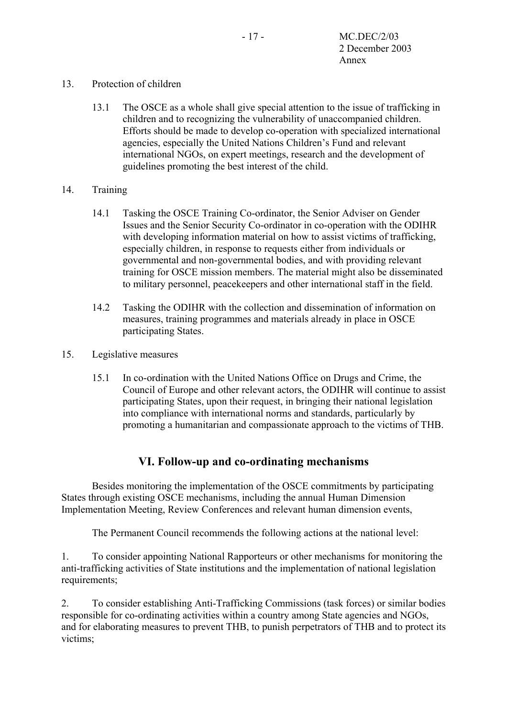## 13. Protection of children

13.1 The OSCE as a whole shall give special attention to the issue of trafficking in children and to recognizing the vulnerability of unaccompanied children. Efforts should be made to develop co-operation with specialized international agencies, especially the United Nations Children's Fund and relevant international NGOs, on expert meetings, research and the development of guidelines promoting the best interest of the child.

## 14. Training

- 14.1 Tasking the OSCE Training Co-ordinator, the Senior Adviser on Gender Issues and the Senior Security Co-ordinator in co-operation with the ODIHR with developing information material on how to assist victims of trafficking, especially children, in response to requests either from individuals or governmental and non-governmental bodies, and with providing relevant training for OSCE mission members. The material might also be disseminated to military personnel, peacekeepers and other international staff in the field.
- 14.2 Tasking the ODIHR with the collection and dissemination of information on measures, training programmes and materials already in place in OSCE participating States.
- 15. Legislative measures
	- 15.1 In co-ordination with the United Nations Office on Drugs and Crime, the Council of Europe and other relevant actors, the ODIHR will continue to assist participating States, upon their request, in bringing their national legislation into compliance with international norms and standards, particularly by promoting a humanitarian and compassionate approach to the victims of THB.

# **VI. Follow-up and co-ordinating mechanisms**

Besides monitoring the implementation of the OSCE commitments by participating States through existing OSCE mechanisms, including the annual Human Dimension Implementation Meeting, Review Conferences and relevant human dimension events,

The Permanent Council recommends the following actions at the national level:

1. To consider appointing National Rapporteurs or other mechanisms for monitoring the anti-trafficking activities of State institutions and the implementation of national legislation requirements:

2. To consider establishing Anti-Trafficking Commissions (task forces) or similar bodies responsible for co-ordinating activities within a country among State agencies and NGOs, and for elaborating measures to prevent THB, to punish perpetrators of THB and to protect its victims;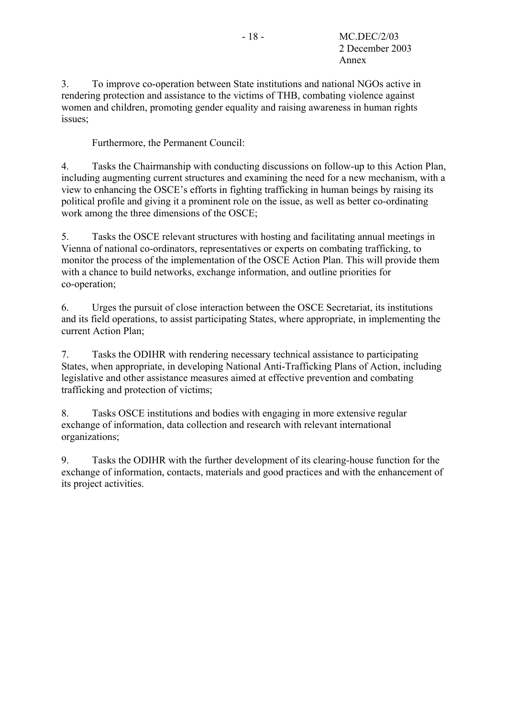3. To improve co-operation between State institutions and national NGOs active in rendering protection and assistance to the victims of THB, combating violence against women and children, promoting gender equality and raising awareness in human rights issues;

Furthermore, the Permanent Council:

4. Tasks the Chairmanship with conducting discussions on follow-up to this Action Plan, including augmenting current structures and examining the need for a new mechanism, with a view to enhancing the OSCE's efforts in fighting trafficking in human beings by raising its political profile and giving it a prominent role on the issue, as well as better co-ordinating work among the three dimensions of the OSCE;

5. Tasks the OSCE relevant structures with hosting and facilitating annual meetings in Vienna of national co-ordinators, representatives or experts on combating trafficking, to monitor the process of the implementation of the OSCE Action Plan. This will provide them with a chance to build networks, exchange information, and outline priorities for co-operation;

6. Urges the pursuit of close interaction between the OSCE Secretariat, its institutions and its field operations, to assist participating States, where appropriate, in implementing the current Action Plan;

7. Tasks the ODIHR with rendering necessary technical assistance to participating States, when appropriate, in developing National Anti-Trafficking Plans of Action, including legislative and other assistance measures aimed at effective prevention and combating trafficking and protection of victims;

8. Tasks OSCE institutions and bodies with engaging in more extensive regular exchange of information, data collection and research with relevant international organizations;

9. Tasks the ODIHR with the further development of its clearing-house function for the exchange of information, contacts, materials and good practices and with the enhancement of its project activities.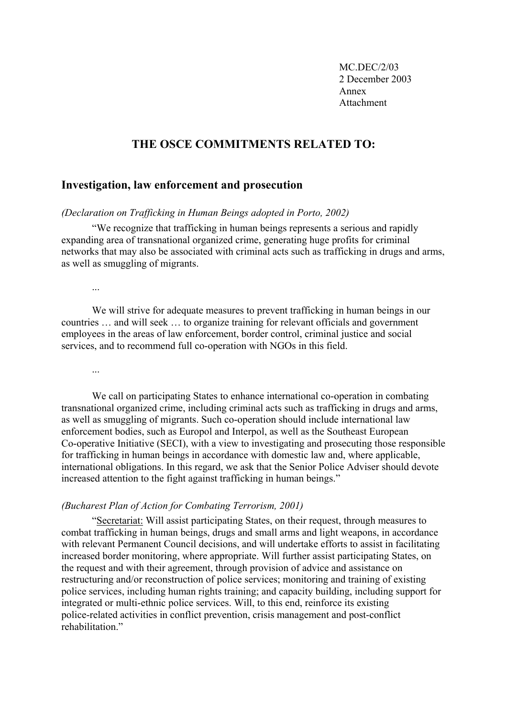MC.DEC/2/03 2 December 2003 Annex Attachment

## **THE OSCE COMMITMENTS RELATED TO:**

## **Investigation, law enforcement and prosecution**

*(Declaration on Trafficking in Human Beings adopted in Porto, 2002)*

"We recognize that trafficking in human beings represents a serious and rapidly expanding area of transnational organized crime, generating huge profits for criminal networks that may also be associated with criminal acts such as trafficking in drugs and arms, as well as smuggling of migrants.

...

We will strive for adequate measures to prevent trafficking in human beings in our countries … and will seek … to organize training for relevant officials and government employees in the areas of law enforcement, border control, criminal justice and social services, and to recommend full co-operation with NGOs in this field.

...

We call on participating States to enhance international co-operation in combating transnational organized crime, including criminal acts such as trafficking in drugs and arms, as well as smuggling of migrants. Such co-operation should include international law enforcement bodies, such as Europol and Interpol, as well as the Southeast European Co-operative Initiative (SECI), with a view to investigating and prosecuting those responsible for trafficking in human beings in accordance with domestic law and, where applicable, international obligations. In this regard, we ask that the Senior Police Adviser should devote increased attention to the fight against trafficking in human beings."

#### *(Bucharest Plan of Action for Combating Terrorism, 2001)*

"Secretariat: Will assist participating States, on their request, through measures to combat trafficking in human beings, drugs and small arms and light weapons, in accordance with relevant Permanent Council decisions, and will undertake efforts to assist in facilitating increased border monitoring, where appropriate. Will further assist participating States, on the request and with their agreement, through provision of advice and assistance on restructuring and/or reconstruction of police services; monitoring and training of existing police services, including human rights training; and capacity building, including support for integrated or multi-ethnic police services. Will, to this end, reinforce its existing police-related activities in conflict prevention, crisis management and post-conflict rehabilitation"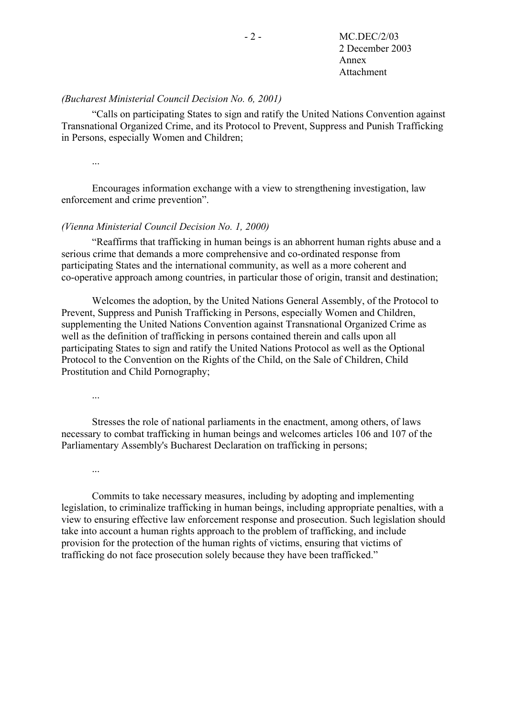## *(Bucharest Ministerial Council Decision No. 6, 2001)*

"Calls on participating States to sign and ratify the United Nations Convention against Transnational Organized Crime, and its Protocol to Prevent, Suppress and Punish Trafficking in Persons, especially Women and Children;

...

Encourages information exchange with a view to strengthening investigation, law enforcement and crime prevention".

### *(Vienna Ministerial Council Decision No. 1, 2000)*

"Reaffirms that trafficking in human beings is an abhorrent human rights abuse and a serious crime that demands a more comprehensive and co-ordinated response from participating States and the international community, as well as a more coherent and co-operative approach among countries, in particular those of origin, transit and destination;

Welcomes the adoption, by the United Nations General Assembly, of the Protocol to Prevent, Suppress and Punish Trafficking in Persons, especially Women and Children, supplementing the United Nations Convention against Transnational Organized Crime as well as the definition of trafficking in persons contained therein and calls upon all participating States to sign and ratify the United Nations Protocol as well as the Optional Protocol to the Convention on the Rights of the Child, on the Sale of Children, Child Prostitution and Child Pornography;

...

Stresses the role of national parliaments in the enactment, among others, of laws necessary to combat trafficking in human beings and welcomes articles 106 and 107 of the Parliamentary Assembly's Bucharest Declaration on trafficking in persons;

...

Commits to take necessary measures, including by adopting and implementing legislation, to criminalize trafficking in human beings, including appropriate penalties, with a view to ensuring effective law enforcement response and prosecution. Such legislation should take into account a human rights approach to the problem of trafficking, and include provision for the protection of the human rights of victims, ensuring that victims of trafficking do not face prosecution solely because they have been trafficked."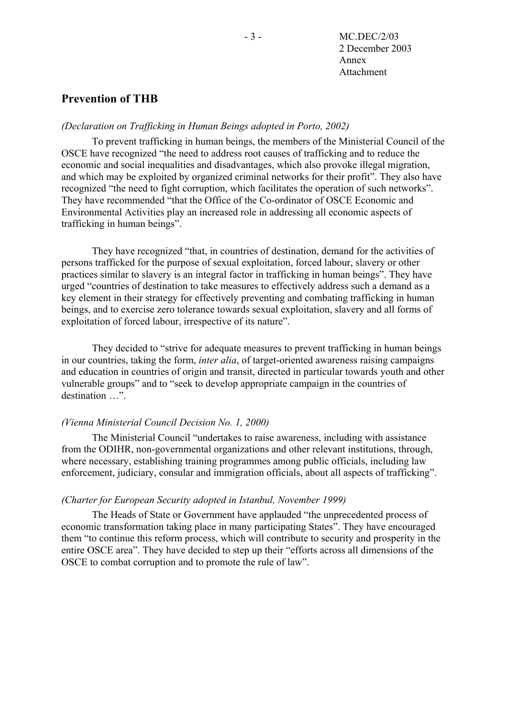## **Prevention of THB**

### *(Declaration on Trafficking in Human Beings adopted in Porto, 2002)*

To prevent trafficking in human beings, the members of the Ministerial Council of the OSCE have recognized "the need to address root causes of trafficking and to reduce the economic and social inequalities and disadvantages, which also provoke illegal migration, and which may be exploited by organized criminal networks for their profit". They also have recognized "the need to fight corruption, which facilitates the operation of such networks". They have recommended "that the Office of the Co-ordinator of OSCE Economic and Environmental Activities play an increased role in addressing all economic aspects of trafficking in human beings".

They have recognized "that, in countries of destination, demand for the activities of persons trafficked for the purpose of sexual exploitation, forced labour, slavery or other practices similar to slavery is an integral factor in trafficking in human beings". They have urged "countries of destination to take measures to effectively address such a demand as a key element in their strategy for effectively preventing and combating trafficking in human beings, and to exercise zero tolerance towards sexual exploitation, slavery and all forms of exploitation of forced labour, irrespective of its nature".

They decided to "strive for adequate measures to prevent trafficking in human beings in our countries, taking the form, *inter alia*, of target-oriented awareness raising campaigns and education in countries of origin and transit, directed in particular towards youth and other vulnerable groups" and to "seek to develop appropriate campaign in the countries of destination …".

### *(Vienna Ministerial Council Decision No. 1, 2000)*

The Ministerial Council "undertakes to raise awareness, including with assistance from the ODIHR, non-governmental organizations and other relevant institutions, through, where necessary, establishing training programmes among public officials, including law enforcement, judiciary, consular and immigration officials, about all aspects of trafficking".

### *(Charter for European Security adopted in Istanbul, November 1999)*

The Heads of State or Government have applauded "the unprecedented process of economic transformation taking place in many participating States". They have encouraged them "to continue this reform process, which will contribute to security and prosperity in the entire OSCE area". They have decided to step up their "efforts across all dimensions of the OSCE to combat corruption and to promote the rule of law".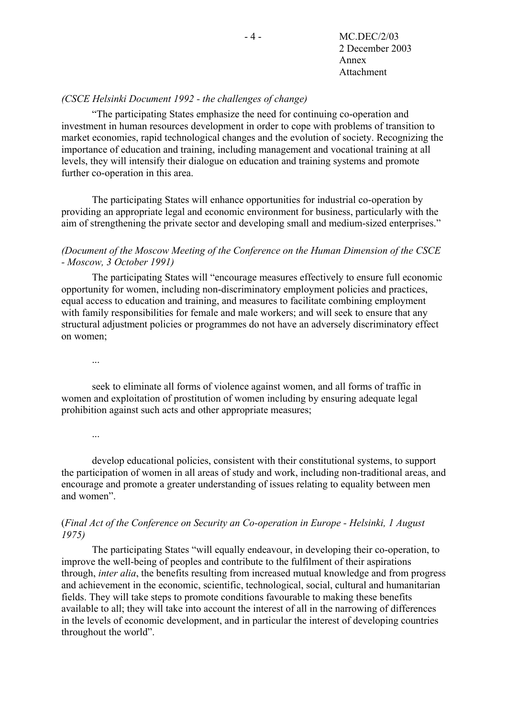- 4 - MC.DEC/2/03 2 December 2003 Annex Attachment

## *(CSCE Helsinki Document 1992 - the challenges of change)*

"The participating States emphasize the need for continuing co-operation and investment in human resources development in order to cope with problems of transition to market economies, rapid technological changes and the evolution of society. Recognizing the importance of education and training, including management and vocational training at all levels, they will intensify their dialogue on education and training systems and promote further co-operation in this area.

The participating States will enhance opportunities for industrial co-operation by providing an appropriate legal and economic environment for business, particularly with the aim of strengthening the private sector and developing small and medium-sized enterprises."

## *(Document of the Moscow Meeting of the Conference on the Human Dimension of the CSCE - Moscow, 3 October 1991)*

The participating States will "encourage measures effectively to ensure full economic opportunity for women, including non-discriminatory employment policies and practices, equal access to education and training, and measures to facilitate combining employment with family responsibilities for female and male workers; and will seek to ensure that any structural adjustment policies or programmes do not have an adversely discriminatory effect on women;

...

seek to eliminate all forms of violence against women, and all forms of traffic in women and exploitation of prostitution of women including by ensuring adequate legal prohibition against such acts and other appropriate measures;

...

develop educational policies, consistent with their constitutional systems, to support the participation of women in all areas of study and work, including non-traditional areas, and encourage and promote a greater understanding of issues relating to equality between men and women".

## (*Final Act of the Conference on Security an Co-operation in Europe - Helsinki, 1 August 1975)*

The participating States "will equally endeavour, in developing their co-operation, to improve the well-being of peoples and contribute to the fulfilment of their aspirations through, *inter alia*, the benefits resulting from increased mutual knowledge and from progress and achievement in the economic, scientific, technological, social, cultural and humanitarian fields. They will take steps to promote conditions favourable to making these benefits available to all; they will take into account the interest of all in the narrowing of differences in the levels of economic development, and in particular the interest of developing countries throughout the world".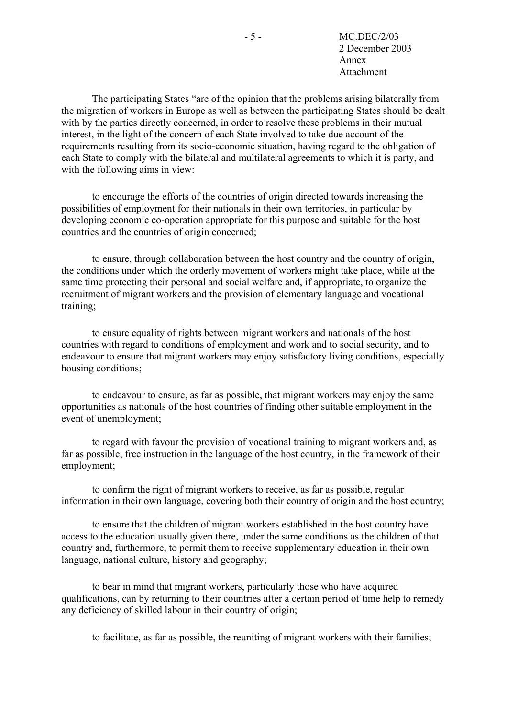- 5 - MC.DEC/2/03 2 December 2003 Annex Attachment

The participating States "are of the opinion that the problems arising bilaterally from the migration of workers in Europe as well as between the participating States should be dealt with by the parties directly concerned, in order to resolve these problems in their mutual interest, in the light of the concern of each State involved to take due account of the requirements resulting from its socio-economic situation, having regard to the obligation of each State to comply with the bilateral and multilateral agreements to which it is party, and with the following aims in view:

to encourage the efforts of the countries of origin directed towards increasing the possibilities of employment for their nationals in their own territories, in particular by developing economic co-operation appropriate for this purpose and suitable for the host countries and the countries of origin concerned;

to ensure, through collaboration between the host country and the country of origin, the conditions under which the orderly movement of workers might take place, while at the same time protecting their personal and social welfare and, if appropriate, to organize the recruitment of migrant workers and the provision of elementary language and vocational training;

to ensure equality of rights between migrant workers and nationals of the host countries with regard to conditions of employment and work and to social security, and to endeavour to ensure that migrant workers may enjoy satisfactory living conditions, especially housing conditions;

to endeavour to ensure, as far as possible, that migrant workers may enjoy the same opportunities as nationals of the host countries of finding other suitable employment in the event of unemployment;

to regard with favour the provision of vocational training to migrant workers and, as far as possible, free instruction in the language of the host country, in the framework of their employment;

to confirm the right of migrant workers to receive, as far as possible, regular information in their own language, covering both their country of origin and the host country;

to ensure that the children of migrant workers established in the host country have access to the education usually given there, under the same conditions as the children of that country and, furthermore, to permit them to receive supplementary education in their own language, national culture, history and geography;

to bear in mind that migrant workers, particularly those who have acquired qualifications, can by returning to their countries after a certain period of time help to remedy any deficiency of skilled labour in their country of origin;

to facilitate, as far as possible, the reuniting of migrant workers with their families;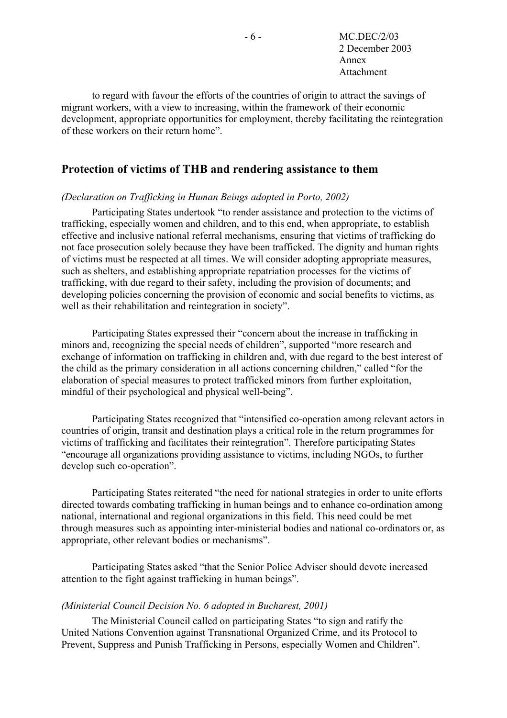- 6 - MC.DEC/2/03 2 December 2003 Annex Attachment

to regard with favour the efforts of the countries of origin to attract the savings of migrant workers, with a view to increasing, within the framework of their economic development, appropriate opportunities for employment, thereby facilitating the reintegration of these workers on their return home".

## **Protection of victims of THB and rendering assistance to them**

#### *(Declaration on Trafficking in Human Beings adopted in Porto, 2002)*

Participating States undertook "to render assistance and protection to the victims of trafficking, especially women and children, and to this end, when appropriate, to establish effective and inclusive national referral mechanisms, ensuring that victims of trafficking do not face prosecution solely because they have been trafficked. The dignity and human rights of victims must be respected at all times. We will consider adopting appropriate measures, such as shelters, and establishing appropriate repatriation processes for the victims of trafficking, with due regard to their safety, including the provision of documents; and developing policies concerning the provision of economic and social benefits to victims, as well as their rehabilitation and reintegration in society".

Participating States expressed their "concern about the increase in trafficking in minors and, recognizing the special needs of children", supported "more research and exchange of information on trafficking in children and, with due regard to the best interest of the child as the primary consideration in all actions concerning children," called "for the elaboration of special measures to protect trafficked minors from further exploitation, mindful of their psychological and physical well-being".

Participating States recognized that "intensified co-operation among relevant actors in countries of origin, transit and destination plays a critical role in the return programmes for victims of trafficking and facilitates their reintegration". Therefore participating States "encourage all organizations providing assistance to victims, including NGOs, to further develop such co-operation".

Participating States reiterated "the need for national strategies in order to unite efforts directed towards combating trafficking in human beings and to enhance co-ordination among national, international and regional organizations in this field. This need could be met through measures such as appointing inter-ministerial bodies and national co-ordinators or, as appropriate, other relevant bodies or mechanisms".

Participating States asked "that the Senior Police Adviser should devote increased attention to the fight against trafficking in human beings".

#### *(Ministerial Council Decision No. 6 adopted in Bucharest, 2001)*

The Ministerial Council called on participating States "to sign and ratify the United Nations Convention against Transnational Organized Crime, and its Protocol to Prevent, Suppress and Punish Trafficking in Persons, especially Women and Children".